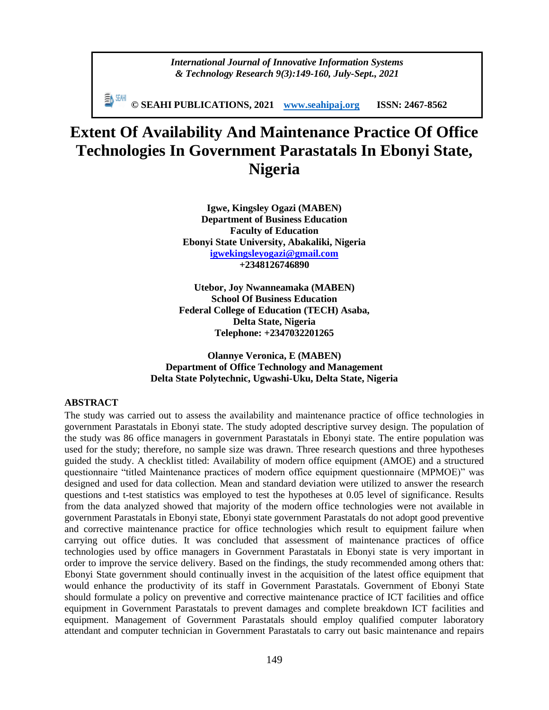#### *International Journal of Innovative Information Systems & Technology Research 9(3):149-160, July-Sept., 2021*

**© SEAHI PUBLICATIONS, 2021 [www.seahipaj.org](http://www.seahipaj.org/) ISSN: 2467-8562**

# **Extent Of Availability And Maintenance Practice Of Office Technologies In Government Parastatals In Ebonyi State, Nigeria**

**Igwe, Kingsley Ogazi (MABEN) Department of Business Education Faculty of Education Ebonyi State University, Abakaliki, Nigeria [igwekingsleyogazi@gmail.com](mailto:igwekingsleyogazi@gmail.com) +2348126746890**

**Utebor, Joy Nwanneamaka (MABEN) School Of Business Education Federal College of Education (TECH) Asaba, Delta State, Nigeria Telephone: +2347032201265**

**Olannye Veronica, E (MABEN) Department of Office Technology and Management Delta State Polytechnic, Ugwashi-Uku, Delta State, Nigeria**

#### **ABSTRACT**

The study was carried out to assess the availability and maintenance practice of office technologies in government Parastatals in Ebonyi state. The study adopted descriptive survey design. The population of the study was 86 office managers in government Parastatals in Ebonyi state. The entire population was used for the study; therefore, no sample size was drawn. Three research questions and three hypotheses guided the study. A checklist titled: Availability of modern office equipment (AMOE) and a structured questionnaire "titled Maintenance practices of modern office equipment questionnaire (MPMOE)" was designed and used for data collection. Mean and standard deviation were utilized to answer the research questions and t-test statistics was employed to test the hypotheses at 0.05 level of significance. Results from the data analyzed showed that majority of the modern office technologies were not available in government Parastatals in Ebonyi state, Ebonyi state government Parastatals do not adopt good preventive and corrective maintenance practice for office technologies which result to equipment failure when carrying out office duties. It was concluded that assessment of maintenance practices of office technologies used by office managers in Government Parastatals in Ebonyi state is very important in order to improve the service delivery. Based on the findings, the study recommended among others that: Ebonyi State government should continually invest in the acquisition of the latest office equipment that would enhance the productivity of its staff in Government Parastatals. Government of Ebonyi State should formulate a policy on preventive and corrective maintenance practice of ICT facilities and office equipment in Government Parastatals to prevent damages and complete breakdown ICT facilities and equipment. Management of Government Parastatals should employ qualified computer laboratory attendant and computer technician in Government Parastatals to carry out basic maintenance and repairs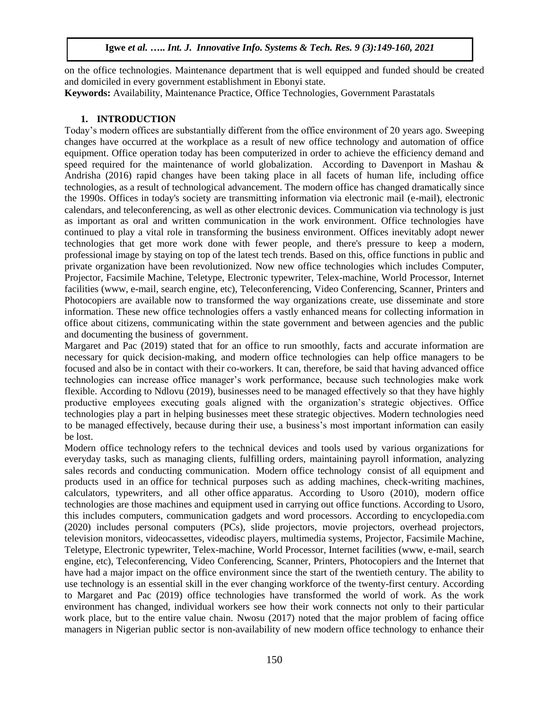on the office technologies. Maintenance department that is well equipped and funded should be created and domiciled in every government establishment in Ebonyi state.

**Keywords:** Availability, Maintenance Practice, Office Technologies, Government Parastatals

## **1. INTRODUCTION**

Today's modern offices are substantially different from the office environment of 20 years ago. Sweeping changes have occurred at the workplace as a result of new office technology and automation of office equipment. Office operation today has been computerized in order to achieve the efficiency demand and speed required for the maintenance of world globalization. According to Davenport in Mashau & Andrisha (2016) rapid changes have been taking place in all facets of human life, including office technologies, as a result of technological advancement. The modern office has changed dramatically since the 1990s. Offices in today's society are transmitting information via electronic mail (e-mail), electronic calendars, and teleconferencing, as well as other electronic devices. Communication via technology is just as important as oral and written communication in the work environment. Office technologies have continued to play a vital role in transforming the business environment. Offices inevitably adopt newer technologies that get more work done with fewer people, and there's pressure to keep a modern, professional image by staying on top of the latest tech trends. Based on this, office functions in public and private organization have been revolutionized. Now new office technologies which includes Computer, Projector, Facsimile Machine, Teletype, Electronic typewriter, Telex-machine, World Processor, Internet facilities (www, e-mail, search engine, etc), Teleconferencing, Video Conferencing, Scanner, Printers and Photocopiers are available now to transformed the way organizations create, use disseminate and store information. These new office technologies offers a vastly enhanced means for collecting information in office about citizens, communicating within the state government and between agencies and the public and documenting the business of government.

Margaret and Pac (2019) stated that for an office to run smoothly, facts and accurate information are necessary for quick decision-making, and modern office technologies can help office managers to be focused and also be in contact with their co-workers. It can, therefore, be said that having advanced office technologies can increase office manager's work performance, because such technologies make work flexible. According to Ndlovu (2019), businesses need to be managed effectively so that they have highly productive employees executing goals aligned with the organization's strategic objectives. Office technologies play a part in helping businesses meet these strategic objectives. Modern technologies need to be managed effectively, because during their use, a business's most important information can easily be lost.

Modern office technology refers to the technical devices and tools used by various organizations for everyday tasks, such as managing clients, fulfilling orders, maintaining payroll information, analyzing sales records and conducting communication. Modern office technology consist of all equipment and products used in an office for technical purposes such as adding machines, check-writing machines, calculators, typewriters, and all other office apparatus. According to Usoro (2010), modern office technologies are those machines and equipment used in carrying out office functions. According to Usoro, this includes computers, communication gadgets and word processors. According to [encyclopedia.com](https://www.encyclopedia.com/about)  [\(2020\)](https://www.encyclopedia.com/about) includes personal computers (PCs), slide projectors, movie projectors, overhead projectors, television monitors, videocassettes, videodisc players, multimedia systems, Projector, Facsimile Machine, Teletype, Electronic typewriter, Telex-machine, World Processor, Internet facilities (www, e-mail, search engine, etc), Teleconferencing, Video Conferencing, Scanner, Printers, Photocopiers and the [Internet](https://www.encyclopedia.com/science-and-technology/computers-and-electrical-engineering/computers-and-computing/internet) that have had a major impact on the office environment since the start of the twentieth century. The ability to use technology is an essential skill in the ever changing workforce of the twenty-first century. According to Margaret and Pac (2019) office technologies have transformed the world of work. As the work environment has changed, individual workers see how their work connects not only to their particular work place, but to the entire value chain. Nwosu (2017) noted that the major problem of facing office managers in Nigerian public sector is non-availability of new modern office technology to enhance their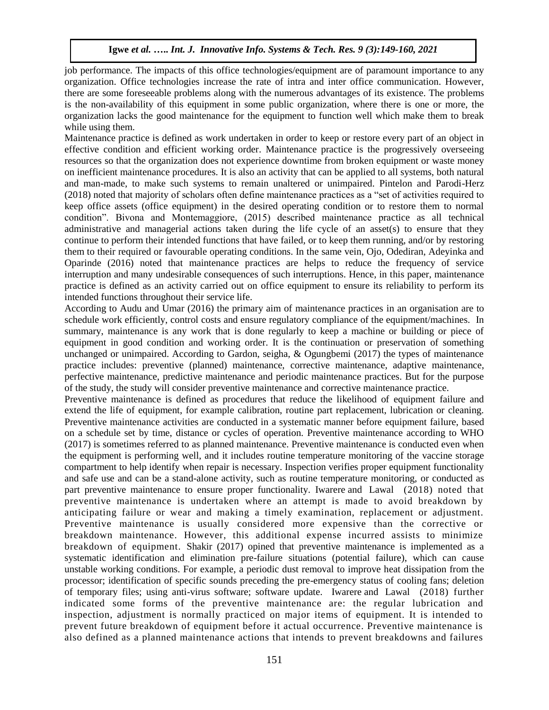job performance. The impacts of this office technologies/equipment are of paramount importance to any organization. Office technologies increase the rate of intra and inter office communication. However, there are some foreseeable problems along with the numerous advantages of its existence. The problems is the non-availability of this equipment in some public organization, where there is one or more, the organization lacks the good maintenance for the equipment to function well which make them to break while using them.

Maintenance practice is defined as work undertaken in order to keep or restore every part of an object in effective condition and efficient working order. Maintenance practice is the progressively overseeing resources so that the organization does not experience downtime from broken equipment or waste money on inefficient maintenance procedures. It is also an activity that can be applied to all systems, both natural and man-made, to make such systems to remain unaltered or unimpaired. Pintelon and Parodi-Herz (2018) noted that majority of scholars often define maintenance practices as a "set of activities required to keep office assets (office equipment) in the desired operating condition or to restore them to normal condition". Bivona and Montemaggiore, (2015) described maintenance practice as all technical administrative and managerial actions taken during the life cycle of an asset(s) to ensure that they continue to perform their intended functions that have failed, or to keep them running, and/or by restoring them to their required or favourable operating conditions. In the same vein, Ojo, Odediran, Adeyinka and Oparinde (2016) noted that maintenance practices are helps to reduce the frequency of service interruption and many undesirable consequences of such interruptions. Hence, in this paper, maintenance practice is defined as an activity carried out on office equipment to ensure its reliability to perform its intended functions throughout their service life.

According to Audu and Umar (2016) the primary aim of maintenance practices in an organisation are to schedule work efficiently, control costs and ensure regulatory compliance of the equipment/machines. In summary, maintenance is any work that is done regularly to keep a machine or building or piece of equipment in good condition and working order. It is the continuation or preservation of something unchanged or unimpaired. According to Gardon, seigha, & Ogungbemi (2017) the types of maintenance practice includes: preventive (planned) maintenance, corrective maintenance, adaptive maintenance, perfective maintenance, predictive maintenance and periodic maintenance practices. But for the purpose of the study, the study will consider preventive maintenance and corrective maintenance practice.

Preventive maintenance is defined as procedures that reduce the likelihood of equipment failure and extend the life of equipment, for example calibration, routine part replacement, lubrication or cleaning. Preventive maintenance activities are conducted in a systematic manner before equipment failure, based on a schedule set by time, distance or cycles of operation. Preventive maintenance according to WHO (2017) is sometimes referred to as planned maintenance. Preventive maintenance is conducted even when the equipment is performing well, and it includes routine temperature monitoring of the vaccine storage compartment to help identify when repair is necessary. Inspection verifies proper equipment functionality and safe use and can be a stand-alone activity, such as routine temperature monitoring, or conducted as part preventive maintenance to ensure proper functionality. [Iwarere](http://ascidatabase.com/author.php?author=H.T.&last=Iwarere) and [Lawal](http://ascidatabase.com/author.php?author=K.O.&last=Lawal) (2018) noted that preventive maintenance is undertaken where an attempt is made to avoid breakdown by anticipating failure or wear and making a timely examination, replacement or adjustment. Preventive maintenance is usually considered more expensive than the corrective or breakdown maintenance. However, this additional expense incurred assists to minimize breakdown of equipment. Shakir (2017) opined that preventive maintenance is implemented as a systematic identification and elimination pre-failure situations (potential failure), which can cause unstable working conditions. For example, a periodic dust removal to improve heat dissipation from the processor; identification of specific sounds preceding the pre-emergency status of cooling fans; deletion of temporary files; using anti-virus software; software update. [Iwarere](http://ascidatabase.com/author.php?author=H.T.&last=Iwarere) and [Lawal](http://ascidatabase.com/author.php?author=K.O.&last=Lawal) (2018) further indicated some forms of the preventive maintenance are: the regular lubrication and inspection, adjustment is normally practiced on major items of equipment. It is intended to prevent future breakdown of equipment before it actual occurrence. Preventive maintenance is also defined as a planned maintenance actions that intends to prevent breakdowns and failures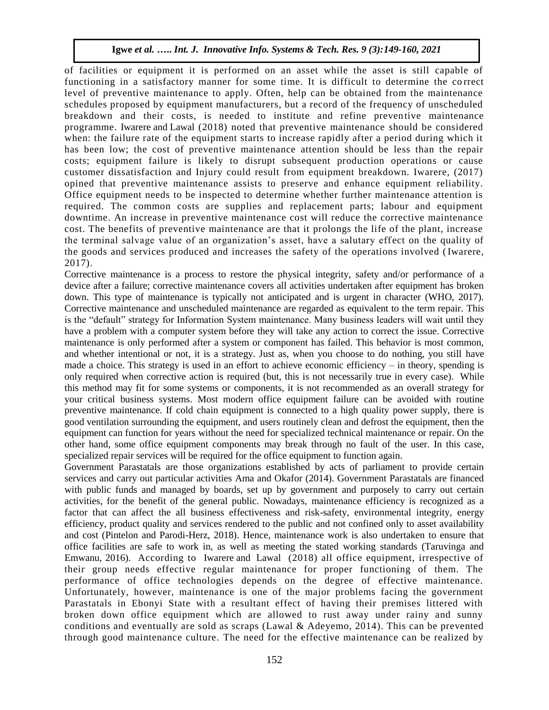of facilities or equipment it is performed on an asset while the asset is still capable of functioning in a satisfactory manner for some time. It is difficult to determine the correct level of preventive maintenance to apply. Often, help can be obtained from the maintenance schedules proposed by equipment manufacturers, but a record of the frequency of unscheduled breakdown and their costs, is needed to institute and refine preventive maintenance programme. [Iwarere](http://ascidatabase.com/author.php?author=H.T.&last=Iwarere) and [Lawal](http://ascidatabase.com/author.php?author=K.O.&last=Lawal) (2018) noted that preventive maintenance should be considered when: the failure rate of the equipment starts to increase rapidly after a period during which it has been low; the cost of preventive maintenance attention should be less than the repair costs; equipment failure is likely to disrupt subsequent production operations or cause customer dissatisfaction and Injury could result from equipment breakdown. Iwarere, (2017) opined that preventive maintenance assists to preserve and enhance equipment reliability. Office equipment needs to be inspected to determine whether further maintenance attention is required. The common costs are supplies and replacement parts; labour and equipment downtime. An increase in preventive maintenance cost will reduce the corrective maintenance cost. The benefits of preventive maintenance are that it prolongs the life of the plant, increase the terminal salvage value of an organization's asset, have a salutary effect on the quality of the goods and services produced and increases the safety of the operations involved [\(Iwarere,](https://scialert.net/fulltext/?doi=rjbm.2011.16.25#56274_b)  [2017\).](https://scialert.net/fulltext/?doi=rjbm.2011.16.25#56274_b)

Corrective maintenance is a process to restore the physical integrity, safety and/or performance of a device after a failure; corrective maintenance covers all activities undertaken after equipment has broken down. This type of maintenance is typically not anticipated and is urgent in character (WHO, 2017). Corrective maintenance and unscheduled maintenance are regarded as equivalent to the term repair. This is the "default" strategy for Information System maintenance. Many business leaders will wait until they have a problem with a computer system before they will take any action to correct the issue. Corrective maintenance is only performed after a system or component has failed. This behavior is most common, and whether intentional or not, it is a strategy. Just as, when you choose to do nothing, you still have made a choice. This strategy is used in an effort to achieve economic efficiency – in theory, spending is only required when corrective action is required (but, this is not necessarily true in every case). While this method may fit for some systems or components, it is not recommended as an overall strategy for your critical business systems. Most modern office equipment failure can be avoided with routine preventive maintenance. If cold chain equipment is connected to a high quality power supply, there is good ventilation surrounding the equipment, and users routinely clean and defrost the equipment, then the equipment can function for years without the need for specialized technical maintenance or repair. On the other hand, some office equipment components may break through no fault of the user. In this case, specialized repair services will be required for the office equipment to function again.

Government Parastatals are those organizations established by acts of parliament to provide certain services and carry out particular activities Ama and Okafor (2014). Government Parastatals are financed with public funds and managed by boards, set up by government and purposely to carry out certain activities, for the benefit of the general public. Nowadays, maintenance efficiency is recognized as a factor that can affect the all business effectiveness and risk-safety, environmental integrity, energy efficiency, product quality and services rendered to the public and not confined only to asset availability and cost (Pintelon and Parodi-Herz, 2018). Hence, maintenance work is also undertaken to ensure that office facilities are safe to work in, as well as meeting the stated working standards (Taruvinga and Emwanu, 2016). According to [Iwarere](http://ascidatabase.com/author.php?author=H.T.&last=Iwarere) and [Lawal](http://ascidatabase.com/author.php?author=K.O.&last=Lawal) (2018) all office equipment, irrespective of their group needs effective regular maintenance for proper functioning of them. The performance of office technologies depends on the degree of effective maintenance. Unfortunately, however, maintenance is one of the major problems facing the government Parastatals in Ebonyi State with a resultant effect of having their premises littered with broken down office equipment which are allowed to rust away under rainy and sunny conditions and eventually are sold as scraps [\(Lawal & Adeyemo, 2014\)](https://scialert.net/fulltext/?doi=rjbm.2011.16.25#547755_ja). This can be prevented through good maintenance culture. The need for the effective maintenance can be realized by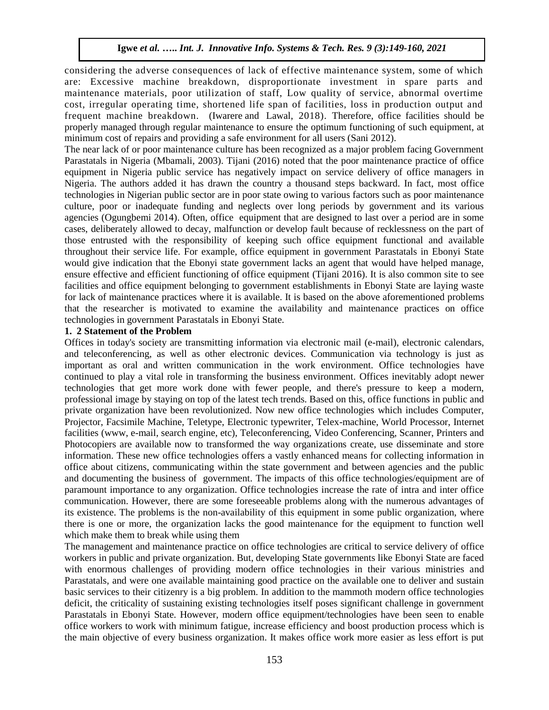considering the adverse consequences of lack of effective maintenance system, some of which are: Excessive machine breakdown, disproportionate investment in spare parts and maintenance materials, poor utilization of staff, Low quality of service, abnormal overtime cost, irregular operating time, shortened life span of facilities, loss in production output and frequent machine breakdown. [\(Iwarere](http://ascidatabase.com/author.php?author=H.T.&last=Iwarere) and [Lawal,](http://ascidatabase.com/author.php?author=K.O.&last=Lawal) 2018). Therefore, office facilities should be properly managed through regular maintenance to ensure the optimum functioning of such equipment, at minimum cost of repairs and providing a safe environment for all users (Sani 2012).

The near lack of or poor maintenance culture has been recognized as a major problem facing Government Parastatals in Nigeria (Mbamali, 2003). Tijani (2016) noted that the poor maintenance practice of office equipment in Nigeria public service has negatively impact on service delivery of office managers in Nigeria. The authors added it has drawn the country a thousand steps backward. In fact, most office technologies in Nigerian public sector are in poor state owing to various factors such as poor maintenance culture, poor or inadequate funding and neglects over long periods by government and its various agencies (Ogungbemi 2014). Often, office equipment that are designed to last over a period are in some cases, deliberately allowed to decay, malfunction or develop fault because of recklessness on the part of those entrusted with the responsibility of keeping such office equipment functional and available throughout their service life. For example, office equipment in government Parastatals in Ebonyi State would give indication that the Ebonyi state government lacks an agent that would have helped manage, ensure effective and efficient functioning of office equipment (Tijani 2016). It is also common site to see facilities and office equipment belonging to government establishments in Ebonyi State are laying waste for lack of maintenance practices where it is available. It is based on the above aforementioned problems that the researcher is motivated to examine the availability and maintenance practices on office technologies in government Parastatals in Ebonyi State.

#### **1. 2 Statement of the Problem**

Offices in today's society are transmitting information via electronic mail (e-mail), electronic calendars, and teleconferencing, as well as other electronic devices. Communication via technology is just as important as oral and written communication in the work environment. Office technologies have continued to play a vital role in transforming the business environment. Offices inevitably adopt newer technologies that get more work done with fewer people, and there's pressure to keep a modern, professional image by staying on top of the latest tech trends. Based on this, office functions in public and private organization have been revolutionized. Now new office technologies which includes Computer, Projector, Facsimile Machine, Teletype, Electronic typewriter, Telex-machine, World Processor, Internet facilities (www, e-mail, search engine, etc), Teleconferencing, Video Conferencing, Scanner, Printers and Photocopiers are available now to transformed the way organizations create, use disseminate and store information. These new office technologies offers a vastly enhanced means for collecting information in office about citizens, communicating within the state government and between agencies and the public and documenting the business of government. The impacts of this office technologies/equipment are of paramount importance to any organization. Office technologies increase the rate of intra and inter office communication. However, there are some foreseeable problems along with the numerous advantages of its existence. The problems is the non-availability of this equipment in some public organization, where there is one or more, the organization lacks the good maintenance for the equipment to function well which make them to break while using them

The management and maintenance practice on office technologies are critical to service delivery of office workers in public and private organization. But, developing State governments like Ebonyi State are faced with enormous challenges of providing modern office technologies in their various ministries and Parastatals, and were one available maintaining good practice on the available one to deliver and sustain basic services to their citizenry is a big problem. In addition to the mammoth modern office technologies deficit, the criticality of sustaining existing technologies itself poses significant challenge in government Parastatals in Ebonyi State. However, modern office equipment/technologies have been seen to enable office workers to work with minimum fatigue, increase efficiency and boost production process which is the main objective of every business organization. It makes office work more easier as less effort is put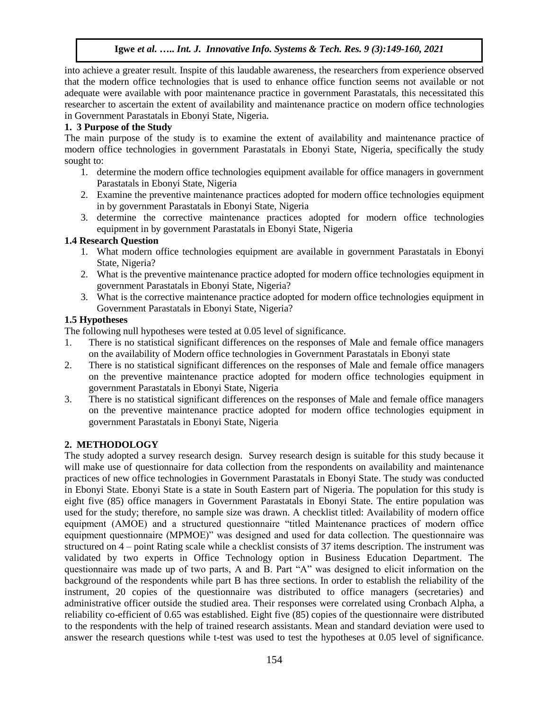into achieve a greater result. Inspite of this laudable awareness, the researchers from experience observed that the modern office technologies that is used to enhance office function seems not available or not adequate were available with poor maintenance practice in government Parastatals, this necessitated this researcher to ascertain the extent of availability and maintenance practice on modern office technologies in Government Parastatals in Ebonyi State, Nigeria.

# **1. 3 Purpose of the Study**

The main purpose of the study is to examine the extent of availability and maintenance practice of modern office technologies in government Parastatals in Ebonyi State, Nigeria, specifically the study sought to:

- 1. determine the modern office technologies equipment available for office managers in government Parastatals in Ebonyi State, Nigeria
- 2. Examine the preventive maintenance practices adopted for modern office technologies equipment in by government Parastatals in Ebonyi State, Nigeria
- 3. determine the corrective maintenance practices adopted for modern office technologies equipment in by government Parastatals in Ebonyi State, Nigeria

# **1.4 Research Question**

- 1. What modern office technologies equipment are available in government Parastatals in Ebonyi State, Nigeria?
- 2. What is the preventive maintenance practice adopted for modern office technologies equipment in government Parastatals in Ebonyi State, Nigeria?
- 3. What is the corrective maintenance practice adopted for modern office technologies equipment in Government Parastatals in Ebonyi State, Nigeria?

# **1.5 Hypotheses**

The following null hypotheses were tested at 0.05 level of significance.

- 1. There is no statistical significant differences on the responses of Male and female office managers on the availability of Modern office technologies in Government Parastatals in Ebonyi state
- 2. There is no statistical significant differences on the responses of Male and female office managers on the preventive maintenance practice adopted for modern office technologies equipment in government Parastatals in Ebonyi State, Nigeria
- 3. There is no statistical significant differences on the responses of Male and female office managers on the preventive maintenance practice adopted for modern office technologies equipment in government Parastatals in Ebonyi State, Nigeria

# **2. METHODOLOGY**

The study adopted a survey research design. Survey research design is suitable for this study because it will make use of questionnaire for data collection from the respondents on availability and maintenance practices of new office technologies in Government Parastatals in Ebonyi State. The study was conducted in Ebonyi State. Ebonyi State is a state in South Eastern part of Nigeria. The population for this study is eight five (85) office managers in Government Parastatals in Ebonyi State. The entire population was used for the study; therefore, no sample size was drawn. A checklist titled: Availability of modern office equipment (AMOE) and a structured questionnaire "titled Maintenance practices of modern office equipment questionnaire (MPMOE)" was designed and used for data collection. The questionnaire was structured on 4 – point Rating scale while a checklist consists of 37 items description. The instrument was validated by two experts in Office Technology option in Business Education Department. The questionnaire was made up of two parts, A and B. Part "A" was designed to elicit information on the background of the respondents while part B has three sections. In order to establish the reliability of the instrument, 20 copies of the questionnaire was distributed to office managers (secretaries) and administrative officer outside the studied area. Their responses were correlated using Cronbach Alpha, a reliability co-efficient of 0.65 was established. Eight five (85) copies of the questionnaire were distributed to the respondents with the help of trained research assistants. Mean and standard deviation were used to answer the research questions while t-test was used to test the hypotheses at 0.05 level of significance.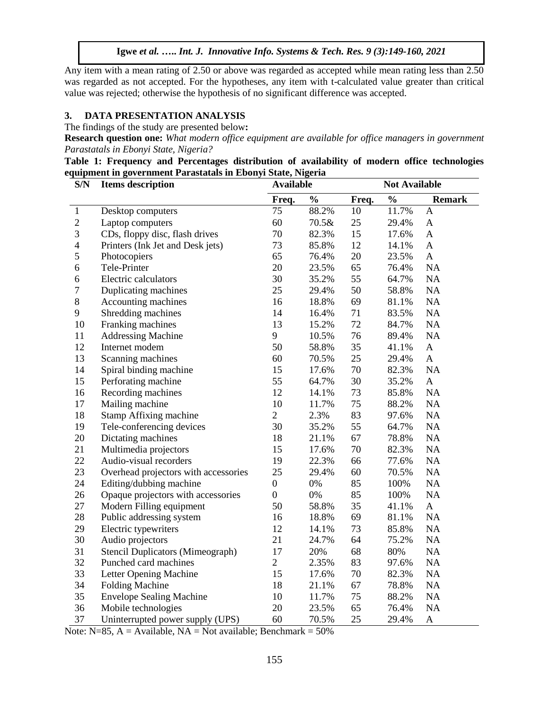Any item with a mean rating of 2.50 or above was regarded as accepted while mean rating less than 2.50 was regarded as not accepted. For the hypotheses, any item with t-calculated value greater than critical value was rejected; otherwise the hypothesis of no significant difference was accepted.

## **3. DATA PRESENTATION ANALYSIS**

The findings of the study are presented below**:**

**Research question one:** *What modern office equipment are available for office managers in government Parastatals in Ebonyi State, Nigeria?*

|  | Table 1: Frequency and Percentages distribution of availability of modern office technologies |  |  |  |  |
|--|-----------------------------------------------------------------------------------------------|--|--|--|--|
|  | equipment in government Parastatals in Ebonyi State, Nigeria                                  |  |  |  |  |

| S/N                     | <b>Items</b> description                | <b>Available</b> |               | <b>Not Available</b> |               |                           |  |
|-------------------------|-----------------------------------------|------------------|---------------|----------------------|---------------|---------------------------|--|
|                         |                                         | Freq.            | $\frac{0}{0}$ | Freq.                | $\frac{0}{0}$ | <b>Remark</b>             |  |
| 1                       | Desktop computers                       | 75               | 88.2%         | 10                   | 11.7%         | A                         |  |
| $\boldsymbol{2}$        | Laptop computers                        | 60               | 70.5&         | 25                   | 29.4%         | A                         |  |
| 3                       | CDs, floppy disc, flash drives          | 70               | 82.3%         | 15                   | 17.6%         | $\mathbf{A}$              |  |
| $\overline{\mathbf{4}}$ | Printers (Ink Jet and Desk jets)        | 73               | 85.8%         | 12                   | 14.1%         | $\mathbf{A}$              |  |
| 5                       | Photocopiers                            | 65               | 76.4%         | 20                   | 23.5%         | $\mathbf{A}$              |  |
| 6                       | Tele-Printer                            | 20               | 23.5%         | 65                   | 76.4%         | NA                        |  |
| 6                       | Electric calculators                    | 30               | 35.2%         | 55                   | 64.7%         | NA                        |  |
| $\overline{7}$          | Duplicating machines                    | 25               | 29.4%         | 50                   | 58.8%         | NA                        |  |
| $8\,$                   | Accounting machines                     | 16               | 18.8%         | 69                   | 81.1%         | NA                        |  |
| 9                       | Shredding machines                      | 14               | 16.4%         | 71                   | 83.5%         | NA                        |  |
| 10                      | Franking machines                       | 13               | 15.2%         | 72                   | 84.7%         | NA                        |  |
| 11                      | <b>Addressing Machine</b>               | 9                | 10.5%         | 76                   | 89.4%         | NA                        |  |
| 12                      | Internet modem                          | 50               | 58.8%         | 35                   | 41.1%         | $\boldsymbol{\mathsf{A}}$ |  |
| 13                      | Scanning machines                       | 60               | 70.5%         | 25                   | 29.4%         | $\mathbf{A}$              |  |
| 14                      | Spiral binding machine                  | 15               | 17.6%         | 70                   | 82.3%         | NA                        |  |
| 15                      | Perforating machine                     | 55               | 64.7%         | 30                   | 35.2%         | $\mathbf{A}$              |  |
| 16                      | Recording machines                      | 12               | 14.1%         | 73                   | 85.8%         | NA                        |  |
| 17                      | Mailing machine                         | 10               | 11.7%         | 75                   | 88.2%         | NA                        |  |
| 18                      | Stamp Affixing machine                  | $\overline{2}$   | 2.3%          | 83                   | 97.6%         | NA                        |  |
| 19                      | Tele-conferencing devices               | 30               | 35.2%         | 55                   | 64.7%         | NA                        |  |
| 20                      | Dictating machines                      | 18               | 21.1%         | 67                   | 78.8%         | NA                        |  |
| 21                      | Multimedia projectors                   | 15               | 17.6%         | 70                   | 82.3%         | NA                        |  |
| 22                      | Audio-visual recorders                  | 19               | 22.3%         | 66                   | 77.6%         | NA                        |  |
| 23                      | Overhead projectors with accessories    | 25               | 29.4%         | 60                   | 70.5%         | NA                        |  |
| 24                      | Editing/dubbing machine                 | $\boldsymbol{0}$ | 0%            | 85                   | 100%          | NA                        |  |
| 26                      | Opaque projectors with accessories      | $\boldsymbol{0}$ | $0\%$         | 85                   | 100%          | NA                        |  |
| 27                      | Modern Filling equipment                | 50               | 58.8%         | 35                   | 41.1%         | $\mathbf{A}$              |  |
| 28                      | Public addressing system                | 16               | 18.8%         | 69                   | 81.1%         | NA                        |  |
| 29                      | Electric typewriters                    | 12               | 14.1%         | 73                   | 85.8%         | NA                        |  |
| 30                      | Audio projectors                        | 21               | 24.7%         | 64                   | 75.2%         | NA                        |  |
| 31                      | <b>Stencil Duplicators (Mimeograph)</b> | 17               | 20%           | 68                   | 80%           | NA                        |  |
| 32                      | Punched card machines                   | $\overline{2}$   | 2.35%         | 83                   | 97.6%         | NA                        |  |
| 33                      | Letter Opening Machine                  | 15               | 17.6%         | 70                   | 82.3%         | NA                        |  |
| 34                      | <b>Folding Machine</b>                  | 18               | 21.1%         | 67                   | 78.8%         | NA                        |  |
| 35                      | <b>Envelope Sealing Machine</b>         | 10               | 11.7%         | 75                   | 88.2%         | NA                        |  |
| 36                      | Mobile technologies                     | 20               | 23.5%         | 65                   | 76.4%         | NA                        |  |
| 37                      | Uninterrupted power supply (UPS)        | 60               | 70.5%         | 25                   | 29.4%         | $\boldsymbol{A}$          |  |

Note:  $N=85$ ,  $A =$  Available,  $NA =$  Not available; Benchmark = 50%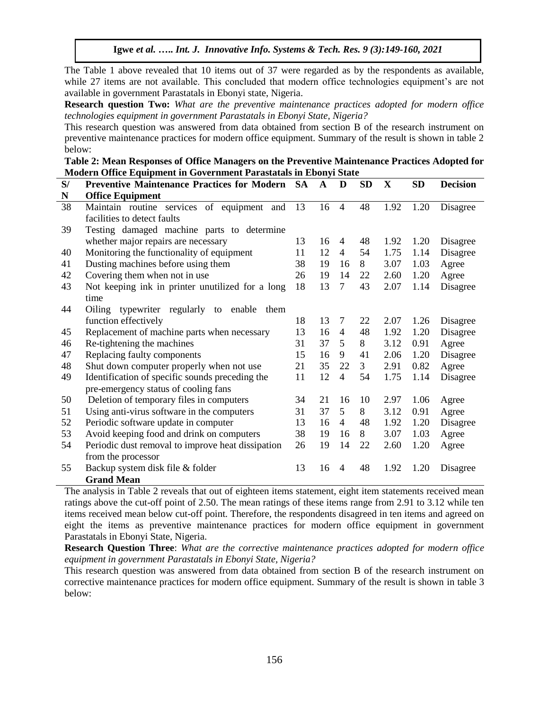The Table 1 above revealed that 10 items out of 37 were regarded as by the respondents as available, while 27 items are not available. This concluded that modern office technologies equipment's are not available in government Parastatals in Ebonyi state, Nigeria.

**Research question Two:** *What are the preventive maintenance practices adopted for modern office technologies equipment in government Parastatals in Ebonyi State, Nigeria?*

This research question was answered from data obtained from section B of the research instrument on preventive maintenance practices for modern office equipment. Summary of the result is shown in table 2 below:

| Table 2: Mean Responses of Office Managers on the Preventive Maintenance Practices Adopted for |
|------------------------------------------------------------------------------------------------|
| Modern Office Equipment in Government Parastatals in Ebonyi State                              |

| S/ | <b>Preventive Maintenance Practices for Modern SA</b> |    | $\mathbf A$ | D              | <b>SD</b> | $\mathbf X$ | <b>SD</b> | <b>Decision</b> |
|----|-------------------------------------------------------|----|-------------|----------------|-----------|-------------|-----------|-----------------|
| N  | <b>Office Equipment</b>                               |    |             |                |           |             |           |                 |
| 38 | Maintain routine services of equipment and            | 13 | 16          | $\overline{4}$ | 48        | 1.92        | 1.20      | Disagree        |
|    | facilities to detect faults                           |    |             |                |           |             |           |                 |
| 39 | Testing damaged machine parts to determine            |    |             |                |           |             |           |                 |
|    | whether major repairs are necessary                   | 13 | 16          | $\overline{4}$ | 48        | 1.92        | 1.20      | Disagree        |
| 40 | Monitoring the functionality of equipment             | 11 | 12          | 4              | 54        | 1.75        | 1.14      | Disagree        |
| 41 | Dusting machines before using them                    | 38 | 19          | 16             | 8         | 3.07        | 1.03      | Agree           |
| 42 | Covering them when not in use                         | 26 | 19          | 14             | 22        | 2.60        | 1.20      | Agree           |
| 43 | Not keeping ink in printer unutilized for a long      | 18 | 13          | $\overline{7}$ | 43        | 2.07        | 1.14      | Disagree        |
|    | time                                                  |    |             |                |           |             |           |                 |
| 44 | Oiling<br>typewriter regularly to<br>enable<br>them   |    |             |                |           |             |           |                 |
|    | function effectively                                  | 18 | 13          | 7              | 22        | 2.07        | 1.26      | Disagree        |
| 45 | Replacement of machine parts when necessary           | 13 | 16          | 4              | 48        | 1.92        | 1.20      | Disagree        |
| 46 | Re-tightening the machines                            | 31 | 37          | 5              | 8         | 3.12        | 0.91      | Agree           |
| 47 | Replacing faulty components                           | 15 | 16          | 9              | 41        | 2.06        | 1.20      | Disagree        |
| 48 | Shut down computer properly when not use              | 21 | 35          | 22             | 3         | 2.91        | 0.82      | Agree           |
| 49 | Identification of specific sounds preceding the       | 11 | 12          | 4              | 54        | 1.75        | 1.14      | Disagree        |
|    | pre-emergency status of cooling fans                  |    |             |                |           |             |           |                 |
| 50 | Deletion of temporary files in computers              | 34 | 21          | 16             | 10        | 2.97        | 1.06      | Agree           |
| 51 | Using anti-virus software in the computers            | 31 | 37          | 5              | 8         | 3.12        | 0.91      | Agree           |
| 52 | Periodic software update in computer                  | 13 | 16          | 4              | 48        | 1.92        | 1.20      | Disagree        |
| 53 | Avoid keeping food and drink on computers             | 38 | 19          | 16             | 8         | 3.07        | 1.03      | Agree           |
| 54 | Periodic dust removal to improve heat dissipation     | 26 | 19          | 14             | 22        | 2.60        | 1.20      | Agree           |
|    | from the processor                                    |    |             |                |           |             |           |                 |
| 55 | Backup system disk file & folder                      | 13 | 16          | $\overline{4}$ | 48        | 1.92        | 1.20      | Disagree        |
|    | <b>Grand Mean</b>                                     |    |             |                |           |             |           |                 |

The analysis in Table 2 reveals that out of eighteen items statement, eight item statements received mean ratings above the cut-off point of 2.50. The mean ratings of these items range from 2.91 to 3.12 while ten items received mean below cut-off point. Therefore, the respondents disagreed in ten items and agreed on eight the items as preventive maintenance practices for modern office equipment in government Parastatals in Ebonyi State, Nigeria.

**Research Question Three**: *What are the corrective maintenance practices adopted for modern office equipment in government Parastatals in Ebonyi State, Nigeria?*

This research question was answered from data obtained from section B of the research instrument on corrective maintenance practices for modern office equipment. Summary of the result is shown in table 3 below: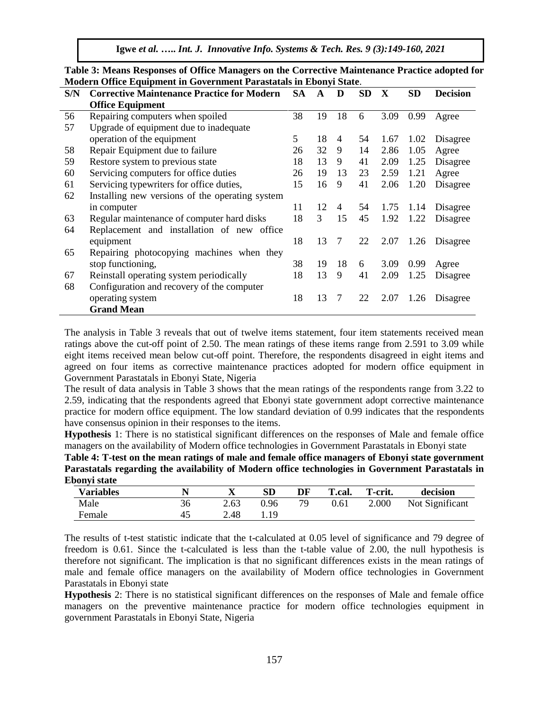|     | мойсти Онис Едигрийн III Обусгийний тагамааны III Евопут май. |           |    |                |           |      |           |                 |  |  |  |  |  |  |  |  |
|-----|---------------------------------------------------------------|-----------|----|----------------|-----------|------|-----------|-----------------|--|--|--|--|--|--|--|--|
| S/N | <b>Corrective Maintenance Practice for Modern</b>             | <b>SA</b> | A  | D              | <b>SD</b> | X    | <b>SD</b> | <b>Decision</b> |  |  |  |  |  |  |  |  |
|     | <b>Office Equipment</b>                                       |           |    |                |           |      |           |                 |  |  |  |  |  |  |  |  |
| 56  | Repairing computers when spoiled                              | 38        | 19 | 18             | 6         | 3.09 | 0.99      | Agree           |  |  |  |  |  |  |  |  |
| 57  | Upgrade of equipment due to inadequate                        |           |    |                |           |      |           |                 |  |  |  |  |  |  |  |  |
|     | operation of the equipment                                    | 5         | 18 | $\overline{4}$ | 54        | 1.67 | 1.02      | Disagree        |  |  |  |  |  |  |  |  |
| 58  | Repair Equipment due to failure                               | 26        | 32 | 9              | 14        | 2.86 | 1.05      | Agree           |  |  |  |  |  |  |  |  |
| 59  | Restore system to previous state                              | 18        | 13 | 9              | 41        | 2.09 | 1.25      | Disagree        |  |  |  |  |  |  |  |  |
| 60  | Servicing computers for office duties                         | 26        | 19 | 13             | 23        | 2.59 | 1.21      | Agree           |  |  |  |  |  |  |  |  |
| 61  | Servicing typewriters for office duties,                      | 15        | 16 | 9              | 41        | 2.06 | 1.20      | Disagree        |  |  |  |  |  |  |  |  |
| 62  | Installing new versions of the operating system               |           |    |                |           |      |           |                 |  |  |  |  |  |  |  |  |
|     | in computer                                                   | 11        | 12 | $\overline{4}$ | 54        | 1.75 | 1.14      | Disagree        |  |  |  |  |  |  |  |  |
| 63  | Regular maintenance of computer hard disks                    | 18        | 3  | 15             | 45        | 1.92 | 1.22      | Disagree        |  |  |  |  |  |  |  |  |
| 64  | Replacement and installation of new office                    |           |    |                |           |      |           |                 |  |  |  |  |  |  |  |  |
|     | equipment                                                     | 18        | 13 | 7              | 22        | 2.07 | 1.26      | Disagree        |  |  |  |  |  |  |  |  |
| 65  | Repairing photocopying machines when they                     |           |    |                |           |      |           |                 |  |  |  |  |  |  |  |  |
|     | stop functioning,                                             | 38        | 19 | 18             | 6         | 3.09 | 0.99      | Agree           |  |  |  |  |  |  |  |  |
| 67  | Reinstall operating system periodically                       | 18        | 13 | 9              | 41        | 2.09 | 1.25      | Disagree        |  |  |  |  |  |  |  |  |
| 68  | Configuration and recovery of the computer                    |           |    |                |           |      |           |                 |  |  |  |  |  |  |  |  |
|     | operating system                                              | 18        | 13 | 7              | 22        | 2.07 | 1.26      | Disagree        |  |  |  |  |  |  |  |  |
|     | <b>Grand Mean</b>                                             |           |    |                |           |      |           |                 |  |  |  |  |  |  |  |  |

**Table 3: Means Responses of Office Managers on the Corrective Maintenance Practice adopted for Modern Office Equipment in Government Parastatals in Ebonyi State**.

The analysis in Table 3 reveals that out of twelve items statement, four item statements received mean ratings above the cut-off point of 2.50. The mean ratings of these items range from 2.591 to 3.09 while eight items received mean below cut-off point. Therefore, the respondents disagreed in eight items and agreed on four items as corrective maintenance practices adopted for modern office equipment in Government Parastatals in Ebonyi State, Nigeria

The result of data analysis in Table 3 shows that the mean ratings of the respondents range from 3.22 to 2.59, indicating that the respondents agreed that Ebonyi state government adopt corrective maintenance practice for modern office equipment. The low standard deviation of 0.99 indicates that the respondents have consensus opinion in their responses to the items.

**Hypothesis** 1: There is no statistical significant differences on the responses of Male and female office managers on the availability of Modern office technologies in Government Parastatals in Ebonyi state

**Table 4: T-test on the mean ratings of male and female office managers of Ebonyi state government Parastatals regarding the availability of Modern office technologies in Government Parastatals in Ebonyi state**

| <b>Variables</b> |    | ∡⊾   | SD   | DF | T.cal. | T-crit. | decision        |
|------------------|----|------|------|----|--------|---------|-----------------|
| Male             | 36 | 2.63 | 0.96 | 79 | 0.61   | 2.000   | Not Significant |
| Female           | 45 | 2.48 | 19   |    |        |         |                 |

The results of t-test statistic indicate that the t-calculated at 0.05 level of significance and 79 degree of freedom is 0.61. Since the t-calculated is less than the t-table value of 2.00, the null hypothesis is therefore not significant. The implication is that no significant differences exists in the mean ratings of male and female office managers on the availability of Modern office technologies in Government Parastatals in Ebonyi state

**Hypothesis** 2: There is no statistical significant differences on the responses of Male and female office managers on the preventive maintenance practice for modern office technologies equipment in government Parastatals in Ebonyi State, Nigeria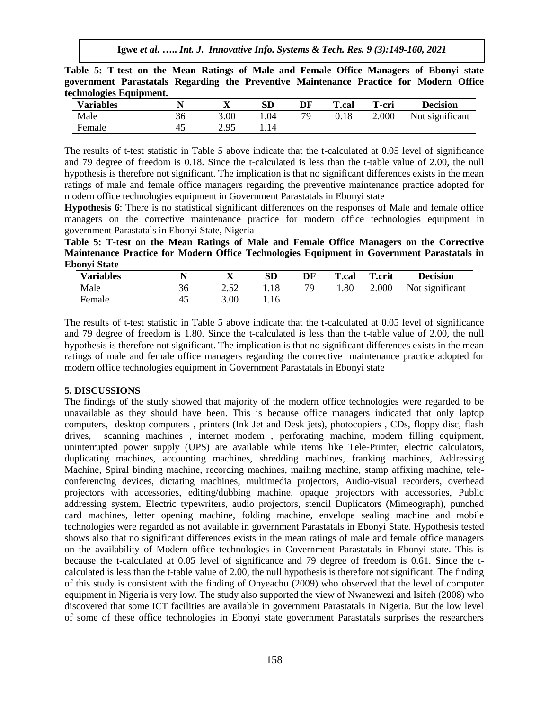**Table 5: T-test on the Mean Ratings of Male and Female Office Managers of Ebonyi state government Parastatals Regarding the Preventive Maintenance Practice for Modern Office technologies Equipment.** 

| <b>Variables</b> |    | ∡    | SD  | DF | <b>T.cal</b> | T-cri | <b>Decision</b> |
|------------------|----|------|-----|----|--------------|-------|-----------------|
| Male             | 36 | 3.00 | .04 | 79 | 0.18         | 2.000 | Not significant |
| Female           | 43 | 2.95 | .14 |    |              |       |                 |

The results of t-test statistic in Table 5 above indicate that the t-calculated at 0.05 level of significance and 79 degree of freedom is 0.18. Since the t-calculated is less than the t-table value of 2.00, the null hypothesis is therefore not significant. The implication is that no significant differences exists in the mean ratings of male and female office managers regarding the preventive maintenance practice adopted for modern office technologies equipment in Government Parastatals in Ebonyi state

**Hypothesis 6**: There is no statistical significant differences on the responses of Male and female office managers on the corrective maintenance practice for modern office technologies equipment in government Parastatals in Ebonyi State, Nigeria

**Table 5: T-test on the Mean Ratings of Male and Female Office Managers on the Corrective Maintenance Practice for Modern Office Technologies Equipment in Government Parastatals in Ebonyi State** 

| <b>Variables</b> |    | ∡≖   | SD   | DF | <b>T.cal</b> | <b>T.crit</b> | <b>Decision</b> |
|------------------|----|------|------|----|--------------|---------------|-----------------|
| Male             | 36 | ے دے | 1.18 | 79 | 0.80         | 2.000         | Not significant |
| Female           | 45 | 3.00 | 1.16 |    |              |               |                 |

The results of t-test statistic in Table 5 above indicate that the t-calculated at 0.05 level of significance and 79 degree of freedom is 1.80. Since the t-calculated is less than the t-table value of 2.00, the null hypothesis is therefore not significant. The implication is that no significant differences exists in the mean ratings of male and female office managers regarding the corrective maintenance practice adopted for modern office technologies equipment in Government Parastatals in Ebonyi state

## **5. DISCUSSIONS**

The findings of the study showed that majority of the modern office technologies were regarded to be unavailable as they should have been. This is because office managers indicated that only laptop computers, desktop computers , printers (Ink Jet and Desk jets), photocopiers , CDs, floppy disc, flash drives, scanning machines , internet modem , perforating machine, modern filling equipment, uninterrupted power supply (UPS) are available while items like Tele-Printer, electric calculators, duplicating machines, accounting machines, shredding machines, franking machines, Addressing Machine, Spiral binding machine, recording machines, mailing machine, stamp affixing machine, teleconferencing devices, dictating machines, multimedia projectors, Audio-visual recorders, overhead projectors with accessories, editing/dubbing machine, opaque projectors with accessories, Public addressing system, Electric typewriters, audio projectors, stencil Duplicators (Mimeograph), punched card machines, letter opening machine, folding machine, envelope sealing machine and mobile technologies were regarded as not available in government Parastatals in Ebonyi State. Hypothesis tested shows also that no significant differences exists in the mean ratings of male and female office managers on the availability of Modern office technologies in Government Parastatals in Ebonyi state. This is because the t-calculated at 0.05 level of significance and 79 degree of freedom is 0.61. Since the tcalculated is less than the t-table value of 2.00, the null hypothesis is therefore not significant. The finding of this study is consistent with the finding of Onyeachu (2009) who observed that the level of computer equipment in Nigeria is very low. The study also supported the view of Nwanewezi and Isifeh (2008) who discovered that some ICT facilities are available in government Parastatals in Nigeria. But the low level of some of these office technologies in Ebonyi state government Parastatals surprises the researchers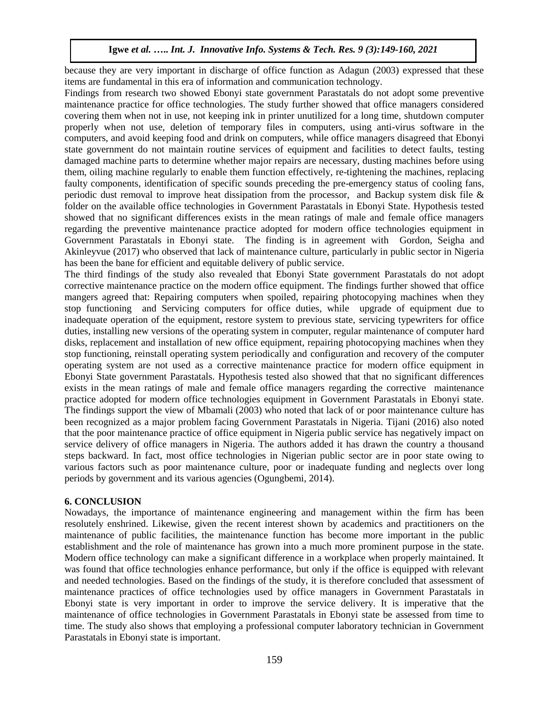because they are very important in discharge of office function as Adagun (2003) expressed that these items are fundamental in this era of information and communication technology.

Findings from research two showed Ebonyi state government Parastatals do not adopt some preventive maintenance practice for office technologies. The study further showed that office managers considered covering them when not in use, not keeping ink in printer unutilized for a long time, shutdown computer properly when not use, deletion of temporary files in computers, using anti-virus software in the computers, and avoid keeping food and drink on computers, while office managers disagreed that Ebonyi state government do not maintain routine services of equipment and facilities to detect faults, testing damaged machine parts to determine whether major repairs are necessary, dusting machines before using them, oiling machine regularly to enable them function effectively, re-tightening the machines, replacing faulty components, identification of specific sounds preceding the pre-emergency status of cooling fans, periodic dust removal to improve heat dissipation from the processor, and Backup system disk file & folder on the available office technologies in Government Parastatals in Ebonyi State. Hypothesis tested showed that no significant differences exists in the mean ratings of male and female office managers regarding the preventive maintenance practice adopted for modern office technologies equipment in Government Parastatals in Ebonyi state. The finding is in agreement with [Gordon, Seigha and](http://ascidatabase.com/author.php?author=H.T.&last=Iwarere)  [Akinleyvue \(2017\) who observed that lack of maintenance culture, particularly in public sector in Nigeria](http://ascidatabase.com/author.php?author=H.T.&last=Iwarere)  [has been the bane for efficient and equitable delivery of public service.](http://ascidatabase.com/author.php?author=H.T.&last=Iwarere)

The third findings of the study also revealed that Ebonyi State government Parastatals do not adopt corrective maintenance practice on the modern office equipment. The findings further showed that office mangers agreed that: Repairing computers when spoiled, repairing photocopying machines when they stop functioning and Servicing computers for office duties, while upgrade of equipment due to inadequate operation of the equipment, restore system to previous state, servicing typewriters for office duties, installing new versions of the operating system in computer, regular maintenance of computer hard disks, replacement and installation of new office equipment, repairing photocopying machines when they stop functioning, reinstall operating system periodically and configuration and recovery of the computer operating system are not used as a corrective maintenance practice for modern office equipment in Ebonyi State government Parastatals. Hypothesis tested also showed that that no significant differences exists in the mean ratings of male and female office managers regarding the corrective maintenance practice adopted for modern office technologies equipment in Government Parastatals in Ebonyi state. The findings support the view of Mbamali (2003) who noted that lack of or poor maintenance culture has been recognized as a major problem facing Government Parastatals in Nigeria. Tijani (2016) also noted that the poor maintenance practice of office equipment in Nigeria public service has negatively impact on service delivery of office managers in Nigeria. The authors added it has drawn the country a thousand steps backward. In fact, most office technologies in Nigerian public sector are in poor state owing to various factors such as poor maintenance culture, poor or inadequate funding and neglects over long periods by government and its various agencies (Ogungbemi, 2014).

#### **6. CONCLUSION**

Nowadays, the importance of maintenance engineering and management within the firm has been resolutely enshrined. Likewise, given the recent interest shown by academics and practitioners on the maintenance of public facilities, the maintenance function has become more important in the public establishment and the role of maintenance has grown into a much more prominent purpose in the state. Modern office technology can make a significant difference in a workplace when properly maintained. It was found that office technologies enhance performance, but only if the office is equipped with relevant and needed technologies. Based on the findings of the study, it is therefore concluded that assessment of maintenance practices of office technologies used by office managers in Government Parastatals in Ebonyi state is very important in order to improve the service delivery. It is imperative that the maintenance of office technologies in Government Parastatals in Ebonyi state be assessed from time to time. The study also shows that employing a professional computer laboratory technician in Government Parastatals in Ebonyi state is important.